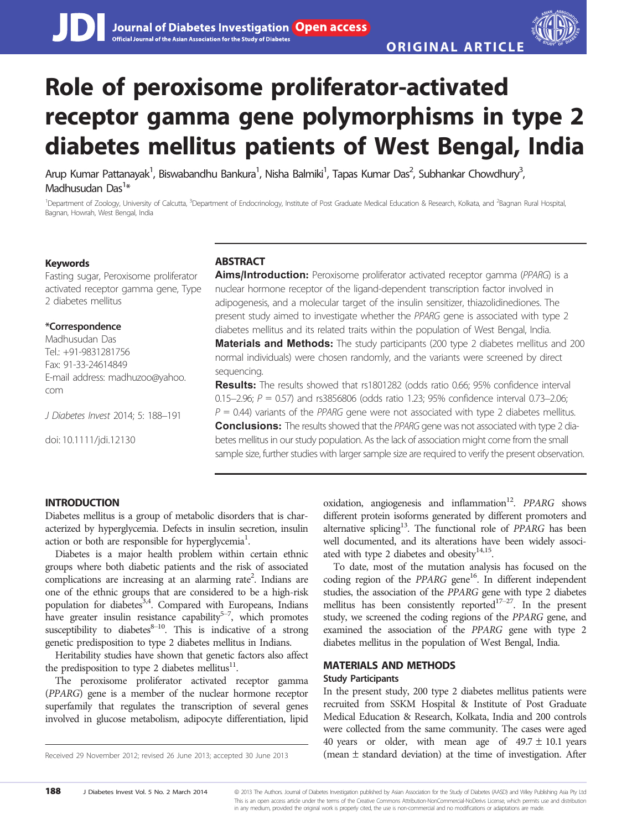# Role of peroxisome proliferator-activated receptor gamma gene polymorphisms in type 2 diabetes mellitus patients of West Bengal, India

Arup Kumar Pattanayak<sup>1</sup>, Biswabandhu Bankura<sup>1</sup>, Nisha Balmiki<sup>1</sup>, Tapas Kumar Das<sup>2</sup>, Subhankar Chowdhury<sup>3</sup> , Madhusudan Das<sup>1</sup>\*

<sup>1</sup>Department of Zoology, University of Calcutta, <sup>3</sup>Department of Endocrinology, Institute of Post Graduate Medical Education & Research, Kolkata, and <sup>2</sup>Bagnan Rural Hospital, Bagnan, Howrah, West Bengal, India

#### Keywords

Fasting sugar, Peroxisome proliferator activated receptor gamma gene, Type 2 diabetes mellitus

#### \*Correspondence

Madhusudan Das Tel.: +91-9831281756 Fax: 91-33-24614849 E-mail address: madhuzoo@yahoo. com

J Diabetes Invest 2014; 5: 188–191

doi: 10.1111/jdi.12130

## **ARSTRACT**

Aims/Introduction: Peroxisome proliferator activated receptor gamma (PPARG) is a nuclear hormone receptor of the ligand-dependent transcription factor involved in adipogenesis, and a molecular target of the insulin sensitizer, thiazolidinediones. The present study aimed to investigate whether the PPARG gene is associated with type 2 diabetes mellitus and its related traits within the population of West Bengal, India. Materials and Methods: The study participants (200 type 2 diabetes mellitus and 200 normal individuals) were chosen randomly, and the variants were screened by direct sequencing.

Results: The results showed that rs1801282 (odds ratio 0.66; 95% confidence interval 0.15–2.96;  $P = 0.57$ ) and rs3856806 (odds ratio 1.23; 95% confidence interval 0.73–2.06;  $P = 0.44$ ) variants of the PPARG gene were not associated with type 2 diabetes mellitus. **Conclusions:** The results showed that the PPARG gene was not associated with type 2 diabetes mellitus in our study population. As the lack of association might come from the small sample size, further studies with larger sample size are required to verify the present observation.

### INTRODUCTION

Diabetes mellitus is a group of metabolic disorders that is characterized by hyperglycemia. Defects in insulin secretion, insulin action or both are responsible for hyperglycemia<sup>1</sup>.

Diabetes is a major health problem within certain ethnic groups where both diabetic patients and the risk of associated complications are increasing at an alarming rate<sup>2</sup>. Indians are one of the ethnic groups that are considered to be a high-risk population for diabetes<sup>3,4</sup>. Compared with Europeans, Indians have greater insulin resistance capability<sup>5-7</sup>, which promotes susceptibility to diabetes $8-10$ . This is indicative of a strong genetic predisposition to type 2 diabetes mellitus in Indians.

Heritability studies have shown that genetic factors also affect the predisposition to type 2 diabetes mellitus $^{11}$ .

The peroxisome proliferator activated receptor gamma (PPARG) gene is a member of the nuclear hormone receptor superfamily that regulates the transcription of several genes involved in glucose metabolism, adipocyte differentiation, lipid

oxidation, angiogenesis and inflammation<sup>12</sup>. PPARG shows different protein isoforms generated by different promoters and alternative splicing<sup>13</sup>. The functional role of  $PPARG$  has been well documented, and its alterations have been widely associated with type 2 diabetes and obesity<sup>14,15</sup>.

To date, most of the mutation analysis has focused on the coding region of the PPARG gene<sup>16</sup>. In different independent studies, the association of the PPARG gene with type 2 diabetes mellitus has been consistently reported $17-27$ . In the present study, we screened the coding regions of the PPARG gene, and examined the association of the PPARG gene with type 2 diabetes mellitus in the population of West Bengal, India.

## MATERIALS AND METHODS

#### Study Participants

In the present study, 200 type 2 diabetes mellitus patients were recruited from SSKM Hospital & Institute of Post Graduate Medical Education & Research, Kolkata, India and 200 controls were collected from the same community. The cases were aged 40 years or older, with mean age of  $49.7 \pm 10.1$  years Received 29 November 2012; revised 26 June 2013; accepted 30 June 2013 (mean  $\pm$  standard deviation) at the time of investigation. After

<sup>188</sup> J Diabetes Invest Vol. 5 No. 2 March 2014 @ 2013 The Authors. Journal of Diabetes Investigation published by Asian Association for the Study of Diabetes (AASD) and Wiley Publishing Asia Pty Ltd This is an open access article under the terms of the Creative Commons Attribution-NonCommercial-NoDerivs License, which permits use and distribution in any medium, provided the original work is properly cited, the use is non-commercial and no modifications or adaptations are made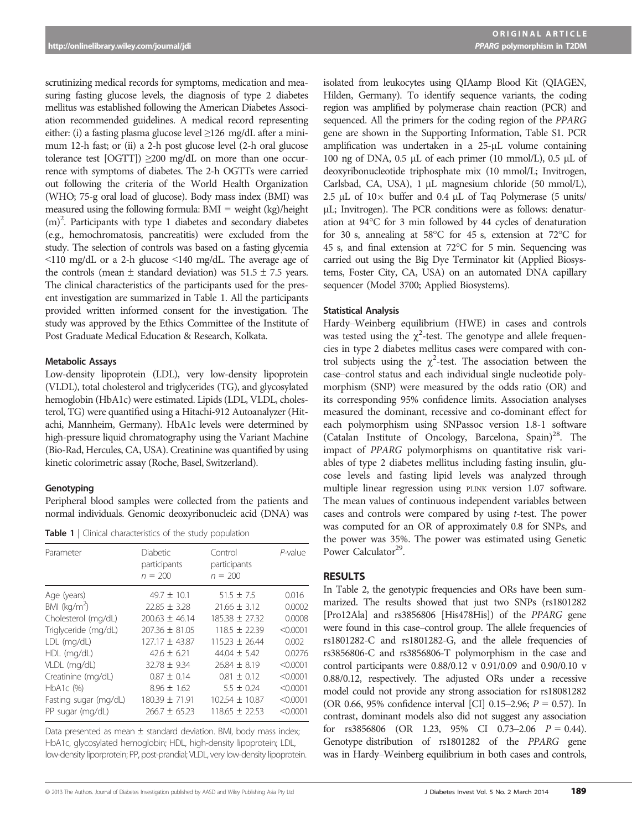scrutinizing medical records for symptoms, medication and measuring fasting glucose levels, the diagnosis of type 2 diabetes mellitus was established following the American Diabetes Association recommended guidelines. A medical record representing either: (i) a fasting plasma glucose level ≥126 mg/dL after a minimum 12-h fast; or (ii) a 2-h post glucose level (2-h oral glucose tolerance test  $[OGTT]) \geq 200$  mg/dL on more than one occurrence with symptoms of diabetes. The 2-h OGTTs were carried out following the criteria of the World Health Organization (WHO; 75-g oral load of glucose). Body mass index (BMI) was measured using the following formula:  $BMI = weight (kg)/height$ (m)2 . Participants with type 1 diabetes and secondary diabetes (e.g., hemochromatosis, pancreatitis) were excluded from the study. The selection of controls was based on a fasting glycemia <110 mg/dL or a 2-h glucose <140 mg/dL. The average age of the controls (mean  $\pm$  standard deviation) was 51.5  $\pm$  7.5 years. The clinical characteristics of the participants used for the present investigation are summarized in Table 1. All the participants provided written informed consent for the investigation. The study was approved by the Ethics Committee of the Institute of Post Graduate Medical Education & Research, Kolkata.

#### Metabolic Assays

Low-density lipoprotein (LDL), very low-density lipoprotein (VLDL), total cholesterol and triglycerides (TG), and glycosylated hemoglobin (HbA1c) were estimated. Lipids (LDL, VLDL, cholesterol, TG) were quantified using a Hitachi-912 Autoanalyzer (Hitachi, Mannheim, Germany). HbA1c levels were determined by high-pressure liquid chromatography using the Variant Machine (Bio-Rad, Hercules, CA, USA). Creatinine was quantified by using kinetic colorimetric assay (Roche, Basel, Switzerland).

#### Genotyping

Peripheral blood samples were collected from the patients and normal individuals. Genomic deoxyribonucleic acid (DNA) was

Table 1 | Clinical characteristics of the study population

| Diabetic<br>participants<br>$n = 200$ | Control<br>participants<br>$n = 200$ | P-value          |
|---------------------------------------|--------------------------------------|------------------|
| $49.7 \pm 10.1$                       | $51.5 \pm 7.5$                       | 0.016            |
|                                       |                                      | 0.0002           |
| $200.63 \pm 46.14$                    | 185.38 ± 27.32                       | 0.0008           |
| $207.36 \pm 81.05$                    | $118.5 \pm 22.39$                    | < 0.0001         |
| 127.17 ± 43.87                        | $115.23 \pm 26.44$                   | 0.002            |
| $42.6 \pm 6.21$                       | $44.04 \pm 5.42$                     | 0.0276           |
| $32.78 \pm 9.34$                      | $26.84 \pm 8.19$                     | < 0.0001         |
| $0.87 \pm 0.14$                       | $0.81 \pm 0.12$                      | < 0.0001         |
| $8.96 \pm 1.62$                       | $5.5 \pm 0.24$                       | < 0.0001         |
| $180.39 \pm 71.91$                    | $102.54 \pm 10.87$                   | < 0.0001         |
| $266.7 \pm 65.23$                     | $118.65 \pm 22.53$                   | < 0.0001         |
|                                       | $22.85 \pm 3.28$                     | $21.66 \pm 3.12$ |

Data presented as mean  $\pm$  standard deviation. BMI, body mass index; HbA1c, glycosylated hemoglobin; HDL, high-density lipoprotein; LDL, low-density liporprotein; PP, post-prandial; VLDL, very low-density lipoprotein. isolated from leukocytes using QIAamp Blood Kit (QIAGEN, Hilden, Germany). To identify sequence variants, the coding region was amplified by polymerase chain reaction (PCR) and sequenced. All the primers for the coding region of the PPARG gene are shown in the Supporting Information, Table S1. PCR amplification was undertaken in a  $25-\mu L$  volume containing 100 ng of DNA,  $0.5$  µL of each primer (10 mmol/L),  $0.5$  µL of deoxyribonucleotide triphosphate mix (10 mmol/L; Invitrogen, Carlsbad, CA, USA), 1 µL magnesium chloride (50 mmol/L), 2.5  $\mu$ L of 10 $\times$  buffer and 0.4  $\mu$ L of Taq Polymerase (5 units/ lL; Invitrogen). The PCR conditions were as follows: denaturation at 94°C for 3 min followed by 44 cycles of denaturation for 30 s, annealing at 58°C for 45 s, extension at 72°C for 45 s, and final extension at 72°C for 5 min. Sequencing was carried out using the Big Dye Terminator kit (Applied Biosystems, Foster City, CA, USA) on an automated DNA capillary sequencer (Model 3700; Applied Biosystems).

#### Statistical Analysis

Hardy–Weinberg equilibrium (HWE) in cases and controls was tested using the  $\chi^2$ -test. The genotype and allele frequencies in type 2 diabetes mellitus cases were compared with control subjects using the  $\chi^2$ -test. The association between the case–control status and each individual single nucleotide polymorphism (SNP) were measured by the odds ratio (OR) and its corresponding 95% confidence limits. Association analyses measured the dominant, recessive and co-dominant effect for each polymorphism using SNPassoc version 1.8-1 software (Catalan Institute of Oncology, Barcelona,  $Spin)^{28}$ . The impact of PPARG polymorphisms on quantitative risk variables of type 2 diabetes mellitus including fasting insulin, glucose levels and fasting lipid levels was analyzed through multiple linear regression using PLINK version 1.07 software. The mean values of continuous independent variables between cases and controls were compared by using t-test. The power was computed for an OR of approximately 0.8 for SNPs, and the power was 35%. The power was estimated using Genetic Power Calculator<sup>29</sup>.

## RESULTS

In Table 2, the genotypic frequencies and ORs have been summarized. The results showed that just two SNPs (rs1801282 [Pro12Ala] and rs3856806 [His478His]) of the PPARG gene were found in this case–control group. The allele frequencies of rs1801282-C and rs1801282-G, and the allele frequencies of rs3856806-C and rs3856806-T polymorphism in the case and control participants were 0.88/0.12 v 0.91/0.09 and 0.90/0.10 v 0.88/0.12, respectively. The adjusted ORs under a recessive model could not provide any strong association for rs18081282 (OR 0.66, 95% confidence interval [CI] 0.15–2.96;  $P = 0.57$ ). In contrast, dominant models also did not suggest any association for  $rs3856806$  (OR 1.23, 95% CI 0.73-2.06  $P = 0.44$ ). Genotype distribution of rs1801282 of the PPARG gene was in Hardy–Weinberg equilibrium in both cases and controls,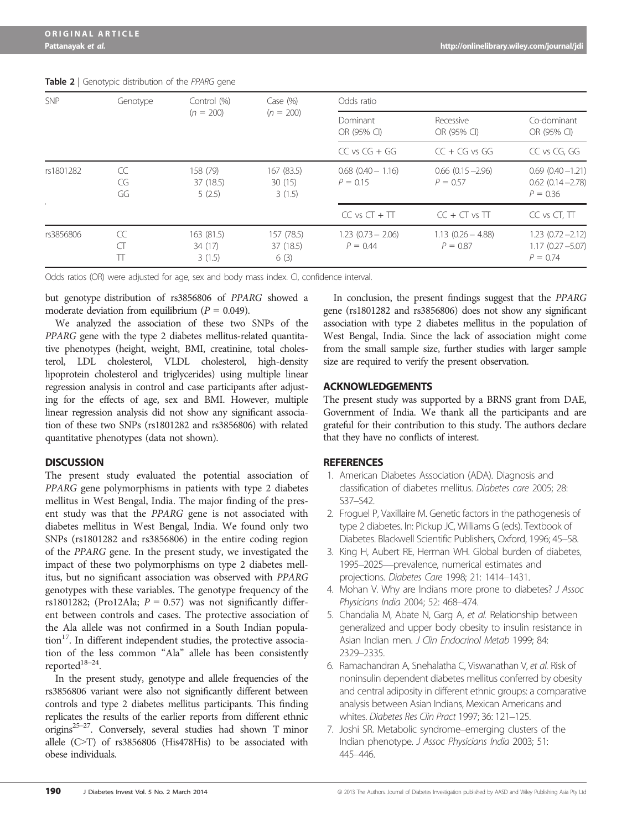| <b>SNP</b> | Genotype             | Control (%)<br>$(n = 200)$      | Case $(\% )$<br>$(n = 200)$     | Odds ratio                           |                                      |                                                             |
|------------|----------------------|---------------------------------|---------------------------------|--------------------------------------|--------------------------------------|-------------------------------------------------------------|
|            |                      |                                 |                                 | Dominant<br>OR (95% CI)              | Recessive<br>OR (95% CI)             | Co-dominant<br>OR (95% CI)                                  |
|            |                      |                                 |                                 | $CC$ vs $CG + GG$                    | $CC + CG$ vs $GG$                    | CC vs CG, GG                                                |
| rs1801282  | CC<br>CG<br>GG       | 158 (79)<br>37 (18.5)<br>5(2.5) | 167 (83.5)<br>30(15)<br>3(1.5)  | $0.68$ $(0.40 - 1.16)$<br>$P = 0.15$ | $0.66$ $(0.15 - 2.96)$<br>$P = 0.57$ | $0.69(0.40 - 1.21)$<br>$0.62$ $(0.14 - 2.78)$<br>$P = 0.36$ |
|            |                      |                                 |                                 | $CC vs CT + TT$                      | $CC + CT$ vs $TT$                    | CC vs CT, TT                                                |
| rs3856806  | CC<br>$\subset$<br>Π | 163 (81.5)<br>34(17)<br>3(1.5)  | 157 (78.5)<br>37 (18.5)<br>6(3) | $1.23(0.73 - 2.06)$<br>$P = 0.44$    | $1.13(0.26 - 4.88)$<br>$P = 0.87$    | $1.23$ $(0.72 - 2.12)$<br>$1.17(0.27 - 5.07)$<br>$P = 0.74$ |

#### Table 2 | Genotypic distribution of the PPARG gene

Odds ratios (OR) were adjusted for age, sex and body mass index. CI, confidence interval.

but genotype distribution of rs3856806 of PPARG showed a moderate deviation from equilibrium ( $P = 0.049$ ).

We analyzed the association of these two SNPs of the PPARG gene with the type 2 diabetes mellitus-related quantitative phenotypes (height, weight, BMI, creatinine, total cholesterol, LDL cholesterol, VLDL cholesterol, high-density lipoprotein cholesterol and triglycerides) using multiple linear regression analysis in control and case participants after adjusting for the effects of age, sex and BMI. However, multiple linear regression analysis did not show any significant association of these two SNPs (rs1801282 and rs3856806) with related quantitative phenotypes (data not shown).

## **DISCUSSION**

The present study evaluated the potential association of PPARG gene polymorphisms in patients with type 2 diabetes mellitus in West Bengal, India. The major finding of the present study was that the PPARG gene is not associated with diabetes mellitus in West Bengal, India. We found only two SNPs (rs1801282 and rs3856806) in the entire coding region of the PPARG gene. In the present study, we investigated the impact of these two polymorphisms on type 2 diabetes mellitus, but no significant association was observed with PPARG genotypes with these variables. The genotype frequency of the rs1801282; (Pro12Ala;  $P = 0.57$ ) was not significantly different between controls and cases. The protective association of the Ala allele was not confirmed in a South Indian population<sup>17</sup>. In different independent studies, the protective association of the less common "Ala" allele has been consistently reported $18-24$ .

In the present study, genotype and allele frequencies of the rs3856806 variant were also not significantly different between controls and type 2 diabetes mellitus participants. This finding replicates the results of the earlier reports from different ethnic origins25–27. Conversely, several studies had shown T minor allele (C>T) of rs3856806 (His478His) to be associated with obese individuals.

In conclusion, the present findings suggest that the PPARG gene (rs1801282 and rs3856806) does not show any significant association with type 2 diabetes mellitus in the population of West Bengal, India. Since the lack of association might come from the small sample size, further studies with larger sample size are required to verify the present observation.

## ACKNOWLEDGEMENTS

The present study was supported by a BRNS grant from DAE, Government of India. We thank all the participants and are grateful for their contribution to this study. The authors declare that they have no conflicts of interest.

## **REFERENCES**

- 1. American Diabetes Association (ADA). Diagnosis and classification of diabetes mellitus. Diabetes care 2005; 28: S37–S42.
- 2. Froguel P, Vaxillaire M. Genetic factors in the pathogenesis of type 2 diabetes. In: Pickup JC, Williams G (eds). Textbook of Diabetes. Blackwell Scientific Publishers, Oxford, 1996; 45–58.
- 3. King H, Aubert RE, Herman WH. Global burden of diabetes, 1995–2025—prevalence, numerical estimates and projections. Diabetes Care 1998; 21: 1414–1431.
- 4. Mohan V. Why are Indians more prone to diabetes? J Assoc Physicians India 2004; 52: 468–474.
- 5. Chandalia M, Abate N, Garg A, et al. Relationship between generalized and upper body obesity to insulin resistance in Asian Indian men. J Clin Endocrinol Metab 1999; 84: 2329–2335.
- 6. Ramachandran A, Snehalatha C, Viswanathan V, et al. Risk of noninsulin dependent diabetes mellitus conferred by obesity and central adiposity in different ethnic groups: a comparative analysis between Asian Indians, Mexican Americans and whites. Diabetes Res Clin Pract 1997; 36: 121–125.
- 7. Joshi SR. Metabolic syndrome–emerging clusters of the Indian phenotype. J Assoc Physicians India 2003; 51: 445–446.